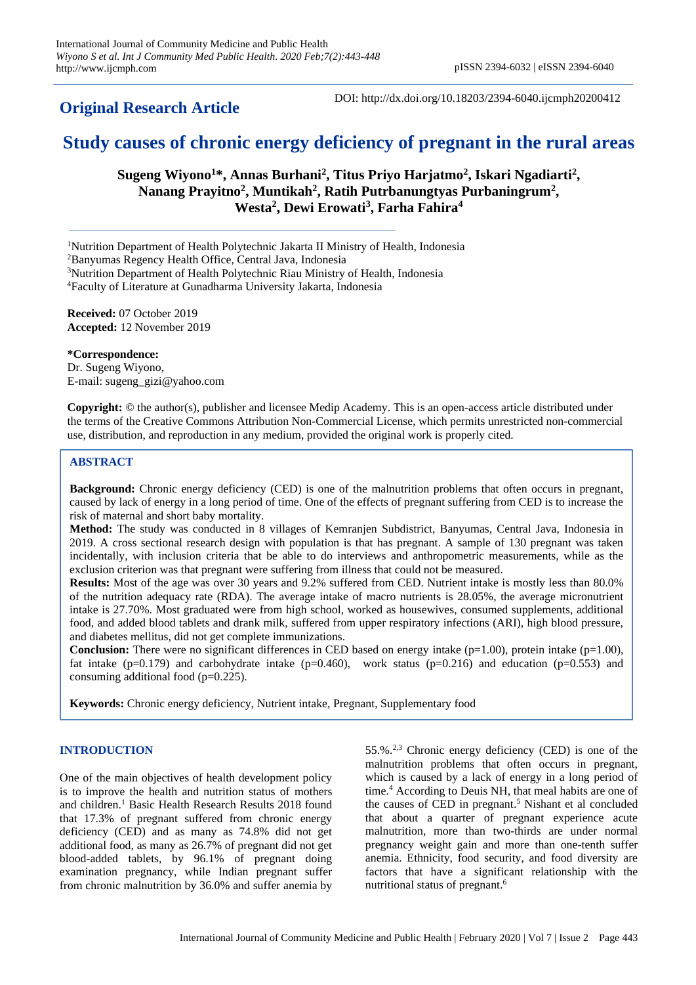**Original Research Article**

DOI: http://dx.doi.org/10.18203/2394-6040.ijcmph20200412

# **Study causes of chronic energy deficiency of pregnant in the rural areas**

**Sugeng Wiyono<sup>1</sup>\*, Annas Burhani<sup>2</sup> , Titus Priyo Harjatmo<sup>2</sup> , Iskari Ngadiarti<sup>2</sup> , Nanang Prayitno<sup>2</sup> , Muntikah<sup>2</sup> , Ratih Putrbanungtyas Purbaningrum<sup>2</sup> , Westa<sup>2</sup> , Dewi Erowati<sup>3</sup> , Farha Fahira<sup>4</sup>**

<sup>1</sup>Nutrition Department of Health Polytechnic Jakarta II Ministry of Health, Indonesia

<sup>2</sup>Banyumas Regency Health Office, Central Java, Indonesia

<sup>3</sup>Nutrition Department of Health Polytechnic Riau Ministry of Health, Indonesia

<sup>4</sup>Faculty of Literature at Gunadharma University Jakarta, Indonesia

**Received:** 07 October 2019 **Accepted:** 12 November 2019

**\*Correspondence:** Dr. Sugeng Wiyono, E-mail: sugeng\_gizi@yahoo.com

**Copyright:** © the author(s), publisher and licensee Medip Academy. This is an open-access article distributed under the terms of the Creative Commons Attribution Non-Commercial License, which permits unrestricted non-commercial use, distribution, and reproduction in any medium, provided the original work is properly cited.

# **ABSTRACT**

**Background:** Chronic energy deficiency (CED) is one of the malnutrition problems that often occurs in pregnant, caused by lack of energy in a long period of time. One of the effects of pregnant suffering from CED is to increase the risk of maternal and short baby mortality.

**Method:** The study was conducted in 8 villages of Kemranjen Subdistrict, Banyumas, Central Java, Indonesia in 2019. A cross sectional research design with population is that has pregnant. A sample of 130 pregnant was taken incidentally, with inclusion criteria that be able to do interviews and anthropometric measurements, while as the exclusion criterion was that pregnant were suffering from illness that could not be measured.

**Results:** Most of the age was over 30 years and 9.2% suffered from CED. Nutrient intake is mostly less than 80.0% of the nutrition adequacy rate (RDA). The average intake of macro nutrients is 28.05%, the average micronutrient intake is 27.70%. Most graduated were from high school, worked as housewives, consumed supplements, additional food, and added blood tablets and drank milk, suffered from upper respiratory infections (ARI), high blood pressure, and diabetes mellitus, did not get complete immunizations.

**Conclusion:** There were no significant differences in CED based on energy intake  $(p=1.00)$ , protein intake  $(p=1.00)$ , fat intake (p=0.179) and carbohydrate intake (p=0.460), work status (p=0.216) and education (p=0.553) and consuming additional food  $(p=0.225)$ .

**Keywords:** Chronic energy deficiency, Nutrient intake, Pregnant, Supplementary food

### **INTRODUCTION**

One of the main objectives of health development policy is to improve the health and nutrition status of mothers and children.<sup>1</sup> Basic Health Research Results 2018 found that 17.3% of pregnant suffered from chronic energy deficiency (CED) and as many as 74.8% did not get additional food, as many as 26.7% of pregnant did not get blood-added tablets, by 96.1% of pregnant doing examination pregnancy, while Indian pregnant suffer from chronic malnutrition by 36.0% and suffer anemia by

55.%. 2,3 Chronic energy deficiency (CED) is one of the malnutrition problems that often occurs in pregnant, which is caused by a lack of energy in a long period of time. <sup>4</sup> According to Deuis NH, that meal habits are one of the causes of CED in pregnant. <sup>5</sup> Nishant et al concluded that about a quarter of pregnant experience acute malnutrition, more than two-thirds are under normal pregnancy weight gain and more than one-tenth suffer anemia. Ethnicity, food security, and food diversity are factors that have a significant relationship with the nutritional status of pregnant. 6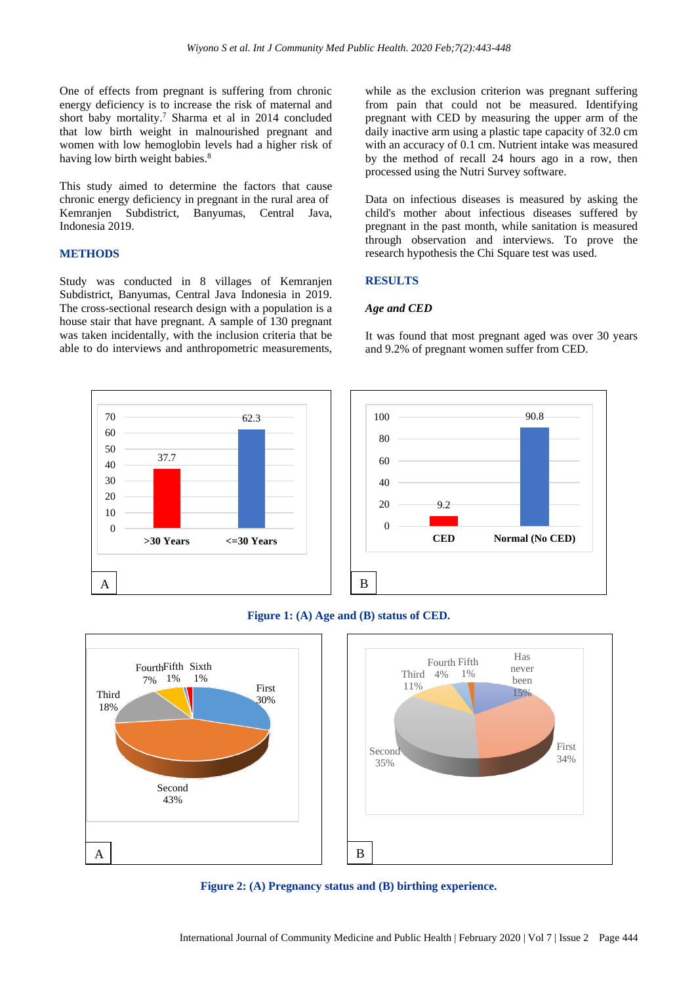One of effects from pregnant is suffering from chronic energy deficiency is to increase the risk of maternal and short baby mortality. <sup>7</sup> Sharma et al in 2014 concluded that low birth weight in malnourished pregnant and women with low hemoglobin levels had a higher risk of having low birth weight babies.<sup>8</sup>

This study aimed to determine the factors that cause chronic energy deficiency in pregnant in the rural area of Kemranjen Subdistrict, Banyumas, Central Java, Indonesia 2019.

### **METHODS**

Study was conducted in 8 villages of Kemranjen Subdistrict, Banyumas, Central Java Indonesia in 2019. The cross-sectional research design with a population is a house stair that have pregnant. A sample of 130 pregnant was taken incidentally, with the inclusion criteria that be able to do interviews and anthropometric measurements,

while as the exclusion criterion was pregnant suffering from pain that could not be measured. Identifying pregnant with CED by measuring the upper arm of the daily inactive arm using a plastic tape capacity of 32.0 cm with an accuracy of 0.1 cm. Nutrient intake was measured by the method of recall 24 hours ago in a row, then processed using the Nutri Survey software.

Data on infectious diseases is measured by asking the child's mother about infectious diseases suffered by pregnant in the past month, while sanitation is measured through observation and interviews. To prove the research hypothesis the Chi Square test was used.

#### **RESULTS**

#### *Age and CED*

It was found that most pregnant aged was over 30 years and 9.2% of pregnant women suffer from CED.







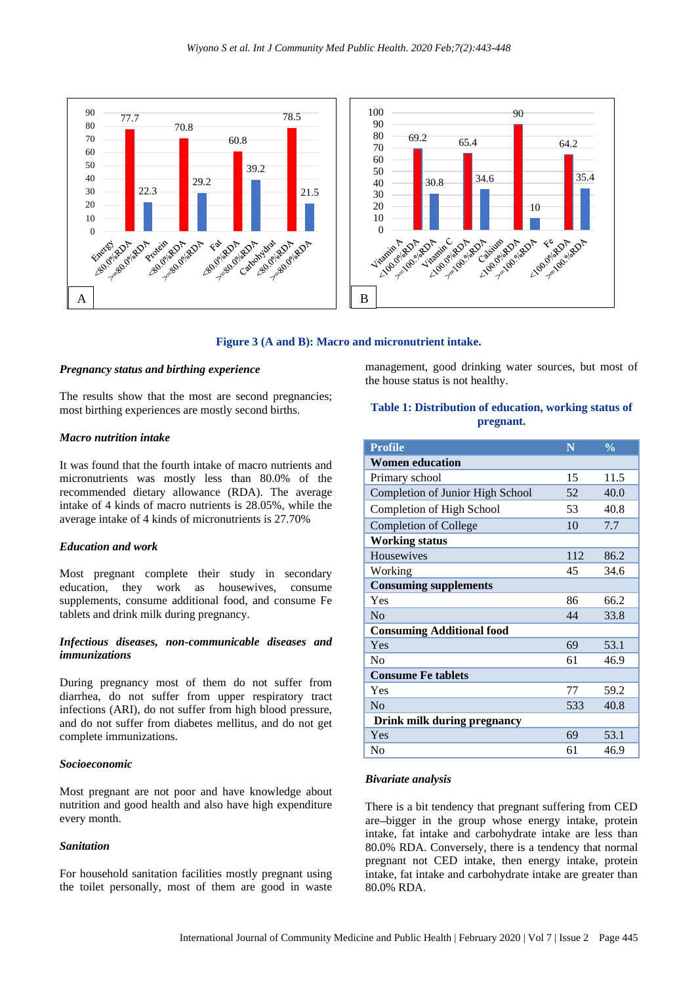

#### **Figure 3 (A and B): Macro and micronutrient intake.**

#### *Pregnancy status and birthing experience*

The results show that the most are second pregnancies; most birthing experiences are mostly second births.

#### *Macro nutrition intake*

It was found that the fourth intake of macro nutrients and micronutrients was mostly less than 80.0% of the recommended dietary allowance (RDA). The average intake of 4 kinds of macro nutrients is 28.05%, while the average intake of 4 kinds of micronutrients is 27.70%

#### *Education and work*

Most pregnant complete their study in secondary education, they work as housewives, consume supplements, consume additional food, and consume Fe tablets and drink milk during pregnancy.

# *Infectious diseases, non-communicable diseases and immunizations*

During pregnancy most of them do not suffer from diarrhea, do not suffer from upper respiratory tract infections (ARI), do not suffer from high blood pressure, and do not suffer from diabetes mellitus, and do not get complete immunizations.

#### *Socioeconomic*

Most pregnant are not poor and have knowledge about nutrition and good health and also have high expenditure every month.

#### *Sanitation*

For household sanitation facilities mostly pregnant using the toilet personally, most of them are good in waste management, good drinking water sources, but most of the house status is not healthy.

# **Table 1: Distribution of education, working status of pregnant.**

| <b>Profile</b>                   | N   | $\frac{0}{0}$ |
|----------------------------------|-----|---------------|
| <b>Women education</b>           |     |               |
| Primary school                   | 15  | 11.5          |
| Completion of Junior High School | 52  | 40.0          |
| Completion of High School        | 53  | 40.8          |
| <b>Completion of College</b>     | 10  | 7.7           |
| <b>Working status</b>            |     |               |
| Housewives                       | 112 | 86.2          |
| Working                          | 45  | 34.6          |
| <b>Consuming supplements</b>     |     |               |
| Yes                              | 86  | 66.2          |
| N <sub>o</sub>                   | 44  | 33.8          |
| <b>Consuming Additional food</b> |     |               |
| Yes                              | 69  | 53.1          |
| N <sub>0</sub>                   | 61  | 46.9          |
| <b>Consume Fe tablets</b>        |     |               |
| Yes                              | 77  | 59.2          |
| $\rm No$                         | 533 | 40.8          |
| Drink milk during pregnancy      |     |               |
| Yes                              | 69  | 53.1          |
| N <sub>0</sub>                   | 61  | 46.9          |

#### *Bivariate analysis*

There is a bit tendency that pregnant suffering from CED are bigger in the group whose energy intake, protein intake, fat intake and carbohydrate intake are less than 80.0% RDA. Conversely, there is a tendency that normal pregnant not CED intake, then energy intake, protein intake, fat intake and carbohydrate intake are greater than 80.0% RDA.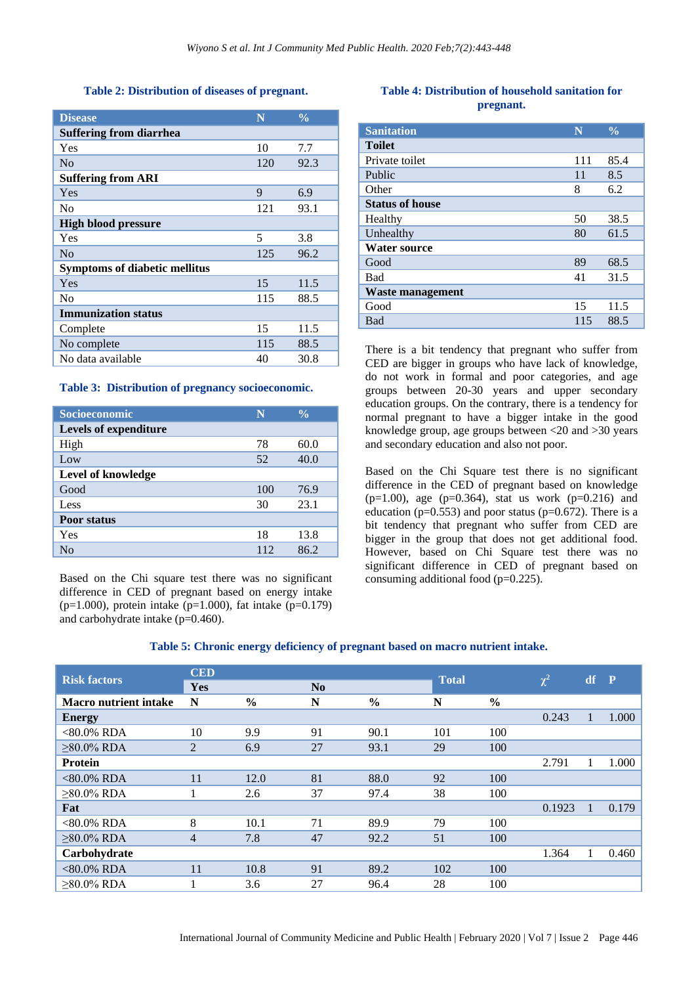#### **Table 2: Distribution of diseases of pregnant.**

| <b>Disease</b>                       | N   | $\frac{0}{0}$ |  |  |  |  |  |  |
|--------------------------------------|-----|---------------|--|--|--|--|--|--|
| Suffering from diarrhea              |     |               |  |  |  |  |  |  |
| Yes                                  | 10  | 7.7           |  |  |  |  |  |  |
| No                                   | 120 | 92.3          |  |  |  |  |  |  |
| <b>Suffering from ARI</b>            |     |               |  |  |  |  |  |  |
| Yes                                  | 9   | 6.9           |  |  |  |  |  |  |
| N <sub>0</sub>                       | 121 | 93.1          |  |  |  |  |  |  |
| <b>High blood pressure</b>           |     |               |  |  |  |  |  |  |
| Yes                                  | 5   | 3.8           |  |  |  |  |  |  |
| No                                   | 125 | 96.2          |  |  |  |  |  |  |
| <b>Symptoms of diabetic mellitus</b> |     |               |  |  |  |  |  |  |
| Yes                                  | 15  | 11.5          |  |  |  |  |  |  |
| N <sub>0</sub>                       | 115 | 88.5          |  |  |  |  |  |  |
| <b>Immunization status</b>           |     |               |  |  |  |  |  |  |
| Complete                             | 15  | 11.5          |  |  |  |  |  |  |
| No complete                          | 115 | 88.5          |  |  |  |  |  |  |
| No data available                    | 40  | 30.8          |  |  |  |  |  |  |

#### **Table 3: Distribution of pregnancy socioeconomic.**

| Socioeconomic         | N   | $\frac{0}{\alpha}$ |
|-----------------------|-----|--------------------|
| Levels of expenditure |     |                    |
| High                  | 78  | 60.0               |
| Low                   | 52  | 40.0               |
| Level of knowledge    |     |                    |
| Good                  | 100 | 76.9               |
| Less                  | 30  | 23.1               |
| <b>Poor status</b>    |     |                    |
| Yes                   | 18  | 13.8               |
| No                    | 112 | 86.2               |

Based on the Chi square test there was no significant difference in CED of pregnant based on energy intake (p=1.000), protein intake (p=1.000), fat intake (p=0.179) and carbohydrate intake (p=0.460).

# **Table 4: Distribution of household sanitation for pregnant.**

| <b>Sanitation</b>      | N   | $\frac{0}{0}$ |
|------------------------|-----|---------------|
| <b>Toilet</b>          |     |               |
| Private toilet         | 111 | 85.4          |
| Public                 | 11  | 8.5           |
| Other                  | 8   | 6.2           |
| <b>Status of house</b> |     |               |
| Healthy                | 50  | 38.5          |
| Unhealthy              | 80  | 61.5          |
| <b>Water source</b>    |     |               |
| Good                   | 89  | 68.5          |
| <b>Bad</b>             | 41  | 31.5          |
| Waste management       |     |               |
| Good                   | 15  | 11.5          |
| Bad                    | 115 | 88.5          |

There is a bit tendency that pregnant who suffer from CED are bigger in groups who have lack of knowledge, do not work in formal and poor categories, and age groups between 20-30 years and upper secondary education groups. On the contrary, there is a tendency for normal pregnant to have a bigger intake in the good knowledge group, age groups between <20 and >30 years and secondary education and also not poor.

Based on the Chi Square test there is no significant difference in the CED of pregnant based on knowledge  $(p=1.00)$ , age  $(p=0.364)$ , stat us work  $(p=0.216)$  and education ( $p=0.553$ ) and poor status ( $p=0.672$ ). There is a bit tendency that pregnant who suffer from CED are bigger in the group that does not get additional food. However, based on Chi Square test there was no significant difference in CED of pregnant based on consuming additional food (p=0.225).

# **Table 5: Chronic energy deficiency of pregnant based on macro nutrient intake.**

| <b>Risk factors</b>          | <b>CED</b>     |               |                |               |              |               |          |              | $\mathbf{P}$ |
|------------------------------|----------------|---------------|----------------|---------------|--------------|---------------|----------|--------------|--------------|
|                              | Yes            |               | N <sub>0</sub> |               | <b>Total</b> |               | $\chi^2$ | df           |              |
| <b>Macro nutrient intake</b> | N              | $\frac{6}{6}$ | N              | $\frac{6}{6}$ | N            | $\frac{6}{9}$ |          |              |              |
| <b>Energy</b>                |                |               |                |               |              |               | 0.243    | $\mathbf{1}$ | 1.000        |
| $<80.0\%$ RDA                | 10             | 9.9           | 91             | 90.1          | 101          | 100           |          |              |              |
| $>80.0\%$ RDA                | $\overline{2}$ | 6.9           | 27             | 93.1          | 29           | 100           |          |              |              |
| <b>Protein</b>               |                |               |                |               |              |               | 2.791    |              | 1.000        |
| $<80.0\%$ RDA                | 11             | 12.0          | 81             | 88.0          | 92           | 100           |          |              |              |
| $\geq 80.0\%$ RDA            |                | 2.6           | 37             | 97.4          | 38           | 100           |          |              |              |
| Fat                          |                |               |                |               |              |               | 0.1923   |              | 0.179        |
| $<80.0\%$ RDA                | 8              | 10.1          | 71             | 89.9          | 79           | 100           |          |              |              |
| $>80.0\%$ RDA                | 4              | 7.8           | 47             | 92.2          | 51           | 100           |          |              |              |
| Carbohydrate                 |                |               |                |               |              |               | 1.364    |              | 0.460        |
| $<80.0\%$ RDA                | 11             | 10.8          | 91             | 89.2          | 102          | 100           |          |              |              |
| $>80.0\%$ RDA                |                | 3.6           | 27             | 96.4          | 28           | 100           |          |              |              |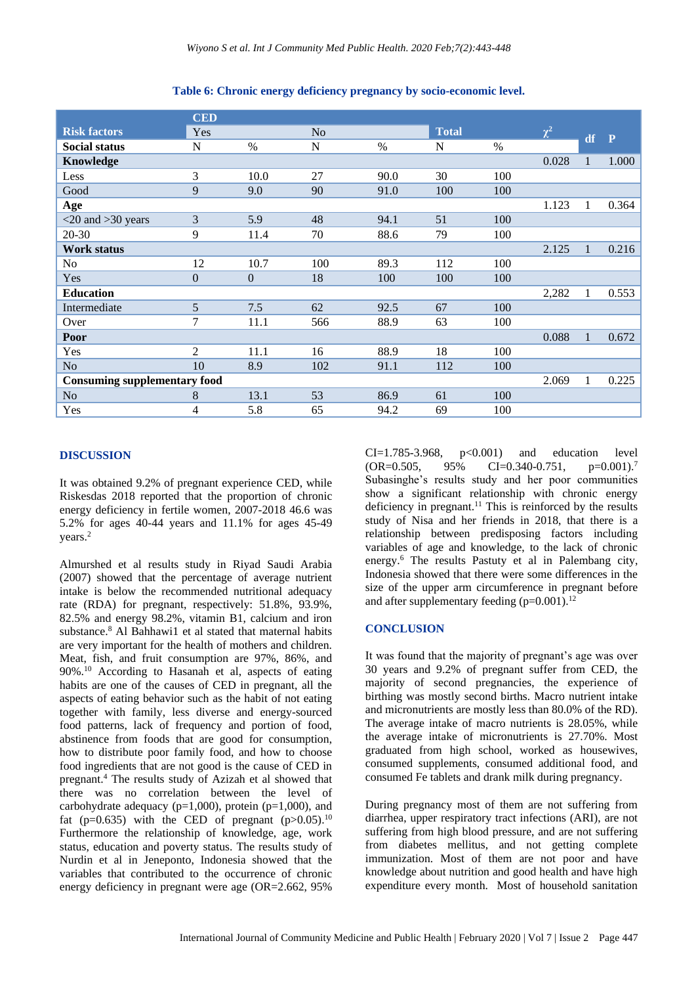|                                     | <b>CED</b>     |                  |     |               |              |               |          |              |       |
|-------------------------------------|----------------|------------------|-----|---------------|--------------|---------------|----------|--------------|-------|
| <b>Risk factors</b>                 | Yes            |                  | No  |               | <b>Total</b> |               | $\chi^2$ | df           | P     |
| <b>Social status</b>                | N              | $\%$             | N   | $\frac{0}{0}$ | N            | $\frac{0}{0}$ |          |              |       |
| Knowledge                           |                |                  |     |               |              |               | 0.028    |              | 1.000 |
| Less                                | 3              | 10.0             | 27  | 90.0          | 30           | 100           |          |              |       |
| Good                                | 9              | 9.0              | 90  | 91.0          | 100          | 100           |          |              |       |
| Age                                 |                |                  |     |               |              |               | 1.123    | $\mathbf{1}$ | 0.364 |
| $<$ 20 and $>$ 30 years             | 3              | 5.9              | 48  | 94.1          | 51           | 100           |          |              |       |
| 20-30                               | 9              | 11.4             | 70  | 88.6          | 79           | 100           |          |              |       |
| <b>Work status</b>                  |                |                  |     |               |              |               | 2.125    | $\mathbf{1}$ | 0.216 |
| No                                  | 12             | 10.7             | 100 | 89.3          | 112          | 100           |          |              |       |
| Yes                                 | $\overline{0}$ | $\boldsymbol{0}$ | 18  | 100           | 100          | 100           |          |              |       |
| <b>Education</b>                    |                |                  |     |               |              |               | 2,282    | 1            | 0.553 |
| Intermediate                        | 5              | 7.5              | 62  | 92.5          | 67           | 100           |          |              |       |
| Over                                | 7              | 11.1             | 566 | 88.9          | 63           | 100           |          |              |       |
| Poor                                |                |                  |     |               |              |               | 0.088    | $\mathbf{1}$ | 0.672 |
| Yes                                 | 2              | 11.1             | 16  | 88.9          | 18           | 100           |          |              |       |
| N <sub>o</sub>                      | 10             | 8.9              | 102 | 91.1          | 112          | 100           |          |              |       |
| <b>Consuming supplementary food</b> |                |                  |     |               |              |               | 2.069    | $\mathbf{1}$ | 0.225 |
| N <sub>o</sub>                      | 8              | 13.1             | 53  | 86.9          | 61           | 100           |          |              |       |
| Yes                                 | 4              | 5.8              | 65  | 94.2          | 69           | 100           |          |              |       |

**Table 6: Chronic energy deficiency pregnancy by socio-economic level.**

## **DISCUSSION**

It was obtained 9.2% of pregnant experience CED, while Riskesdas 2018 reported that the proportion of chronic energy deficiency in fertile women, 2007-2018 46.6 was 5.2% for ages 40-44 years and 11.1% for ages 45-49 years. 2

[Almurshed](https://www.ncbi.nlm.nih.gov/pubmed/?term=Almurshed%20KS%5BAuthor%5D&cauthor=true&cauthor_uid=23012137) et al results study in Riyad Saudi Arabia (2007) showed that the percentage of average nutrient intake is below the recommended nutritional adequacy rate (RDA) for pregnant, respectively: 51.8%, 93.9%, 82.5% and energy 98.2%, vitamin B1, calcium and iron substance. <sup>8</sup> Al Bahhawi1 et al stated that maternal habits are very important for the health of mothers and children. Meat, fish, and fruit consumption are 97%, 86%, and 90%. <sup>10</sup> According to Hasanah et al, aspects of eating habits are one of the causes of CED in pregnant, all the aspects of eating behavior such as the habit of not eating together with family, less diverse and energy-sourced food patterns, lack of frequency and portion of food, abstinence from foods that are good for consumption, how to distribute poor family food, and how to choose food ingredients that are not good is the cause of CED in pregnant. <sup>4</sup> The results study of Azizah et al showed that there was no correlation between the level of carbohydrate adequacy ( $p=1,000$ ), protein ( $p=1,000$ ), and fat (p=0.635) with the CED of pregnant (p>0.05).<sup>10</sup> Furthermore the relationship of knowledge, age, work status, education and poverty status. The results study of Nurdin et al in Jeneponto, Indonesia showed that the variables that contributed to the occurrence of chronic energy deficiency in pregnant were age (OR=2.662, 95%

 $CI = 1.785 - 3.968$ ,  $p < 0.001$  and education level  $OR = 0.505$ , 95% CI=0.340-0.751,  $p=0.001$ .<sup>7</sup> Subasinghe's results study and her poor communities show a significant relationship with chronic energy deficiency in pregnant. <sup>11</sup> This is reinforced by the results study of Nisa and her friends in 2018, that there is a relationship between predisposing factors including variables of age and knowledge, to the lack of chronic energy. <sup>6</sup> The results Pastuty et al in Palembang city, Indonesia showed that there were some differences in the size of the upper arm circumference in pregnant before and after supplementary feeding (p=0.001).<sup>12</sup>

## **CONCLUSION**

It was found that the majority of pregnant's age was over 30 years and 9.2% of pregnant suffer from CED, the majority of second pregnancies, the experience of birthing was mostly second births. Macro nutrient intake and micronutrients are mostly less than 80.0% of the RD). The average intake of macro nutrients is 28.05%, while the average intake of micronutrients is 27.70%. Most graduated from high school, worked as housewives, consumed supplements, consumed additional food, and consumed Fe tablets and drank milk during pregnancy.

During pregnancy most of them are not suffering from diarrhea, upper respiratory tract infections (ARI), are not suffering from high blood pressure, and are not suffering from diabetes mellitus, and not getting complete immunization. Most of them are not poor and have knowledge about nutrition and good health and have high expenditure every month. Most of household sanitation